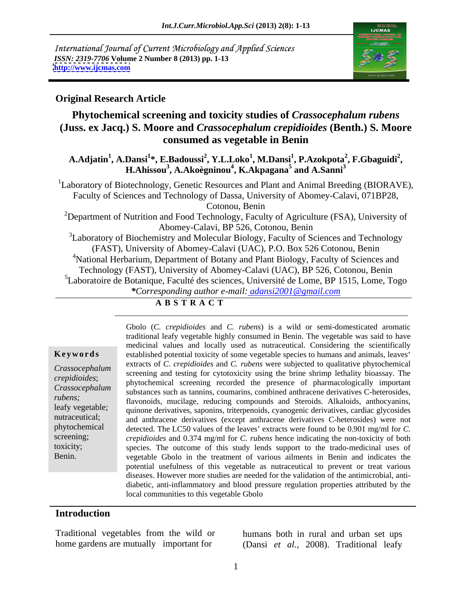International Journal of Current Microbiology and Applied Sciences *ISSN: 2319-7706* **Volume 2 Number 8 (2013) pp. 1-13 <http://www.ijcmas.com>**



### **Original Research Article**

## **Phytochemical screening and toxicity studies of** *Crassocephalum rubens* **(Juss. ex Jacq.) S. Moore and** *Crassocephalum crepidioides* **(Benth.) S. Moore consumed as vegetable in Benin**

**A.Adjatin<sup>1</sup> , A.Dansi<sup>1</sup> \*, E.Badoussi<sup>2</sup> , Y.L.Loko<sup>1</sup> , M.Dansi<sup>1</sup> , P.Azokpota<sup>2</sup> , H.Ahissou3 , F.Gbaguidi<sup>2</sup> , A.Akoègninou<sup>4</sup> , K.Akpagana<sup>5</sup> and A.Sanni<sup>3</sup>**

<sup>1</sup>Laboratory of Biotechnology, Genetic Resources and Plant and Animal Breeding (BIORAVE), Faculty of Sciences and Technology of Dassa, University of Abomey-Calavi, 071BP28, Cotonou, Benin

<sup>2</sup>Department of Nutrition and Food Technology, Faculty of Agriculture (FSA), University of Abomey-Calavi, BP 526, Cotonou, Benin

<sup>3</sup>Laboratory of Biochemistry and Molecular Biology, Faculty of Sciences and Technology (FAST), University of Abomey-Calavi (UAC), P.O. Box 526 Cotonou, Benin <sup>4</sup>National Herbarium, Department of Botany and Plant Biology, Faculty of Sciences and Technology (FAST), University of Abomey-Calavi (UAC), BP 526, Cotonou, Benin <sup>5</sup>Laboratoire de Botanique, Faculté des sciences, Université de Lome, BP 1515, Lome, Togo *\*Corresponding author e-mail: adansi2001@gmail.com*

### **A B S T R A C T**

**Keywords** established potential toxicity of some vegetable species to humans and animals, leaves' *Crassocephalum* can acts of C. *Creptabilies* and C. *Tabelis* were subjected to quantative phytochemical screening and testing for cytotoxicity using the brine shrimp lethality bioassay. The *crepidioides*; phytochemical screening recorded the presence of pharmacologically important *Crassocephalum* substances such as tannins, coumarins, combined anthracene derivatives C-heterosides, *rubens;*<br>
flavonoids, mucilage, reducing compounds and Steroids. Alkaloids, anthocyanins, leafy vegetable; quinone derivatives, saponins, triterpenoids, cyanogenic derivatives, cardiac glycosides nutraceutical; and anthracene derivatives (except anthracene derivatives C-heterosides) were not phytochemical detected. The LC50 values of the leaves' extracts were found to be 0.901 mg/ml for *C*. screening; *crepidioides* and 0.374 mg/ml for *C. rubens* hence indicating the non-toxicity of both toxicity; species. The outcome of this study lends support to the trado-medicinal uses of Gbolo (*C. crepidioides* and *C. rubens*) is a wild or semi-domesticated aromatic<br>traditional learly vegetable highly onsumed in Benin. The vegetable was said to have<br>medicianal values and order and considering the scienti traditional leafy vegetable highly consumed in Benin. The vegetable was said to have medicinal values and locally used as nutraceutical. Considering the scientifically extracts of *C. crepidioides* and *C. rubens* were subjected to qualitative phytochemical vegetable Gbolo in the treatment of various ailments in Benin and indicates the potential usefulness of this vegetable as nutraceutical to prevent or treat various diseases. However more studies are needed for the validation of the antimicrobial, anti diabetic, anti-inflammatory and blood pressure regulation properties attributed by the local communities to this vegetable Gbolo

### **Introduction**

Traditional vegetables from the wild or

home gardens are mutually important for (Dansi *et al.,* 2008). Traditional leafy humans both in rural and urban set ups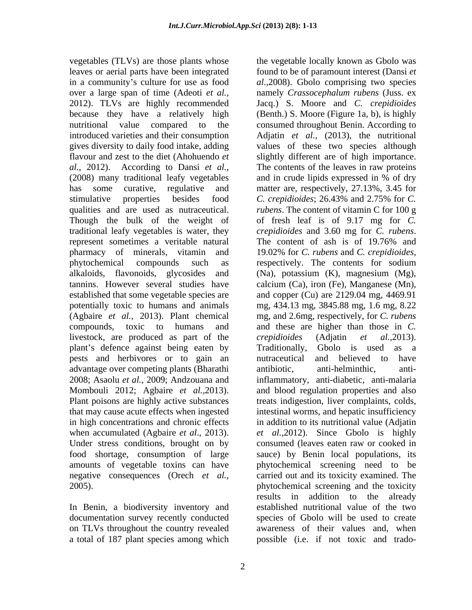vegetables (TLVs) are those plants whose the vegetable locally known as Gbolo was leaves or aerial parts have been integrated found to be of paramount interest (Dansi *et*  in a community's culture for use as food al., 2008). Gbolo comprising two species over a large span of time (Adeoti *et al.,* namely *Crassocephalum rubens* (Juss. ex 2012). TLVs are highly recommended Jacq.) S. Moore and *C. crepidioides* because they have a relatively high nutritional value compared to the consumed throughout Benin. According to introduced varieties and their consumption Adjatin *et al.,* (2013), the nutritional gives diversity to daily food intake, adding values of these two species although flavour and zest to the diet (Ahohuendo *et*  slightly different are of high importance. *al.,* 2012). According to Dansi *et al.,* The contents of the leaves in raw proteins (2008) many traditional leafy vegetables and in crude lipids expressed in % of dry has some curative, regulative and matter are, respectively, 27.13%, 3.45 for stimulative properties besides food C. crepidioides; 26.43% and 2.75% for C. qualities and are used as nutraceutical. *rubens*. The content of vitamin C for 100 g Though the bulk of the weight of of fresh leaf is of 9.17 mg for *C*. traditional leafy vegetables is water, they crepidioides and 3.60 mg for C. rubens. represent sometimes a veritable natural The content of ash is of 19.76% and pharmacy of minerals, vitamin and 19.02% for *C. rubens* and *C. crepidioides,* phytochemical compounds such as respectively. The contents for sodium alkaloids, flavonoids, glycosides and (Na), potassium (K), magnesium (Mg), tannins. However several studies have calcium (Ca), iron (Fe), Manganese (Mn), established that some vegetable species are and copper (Cu) are 2129.04 mg, 4469.91 potentially toxic to humans and animals mg, 434.13 mg, 3845.88 mg, 1.6 mg, 8.22 (Agbaire *et al.,* 2013). Plant chemical mg, and 2.6mg, respectively, for *C. rubens*  compounds, toxic to humans and and these are higher than those in *C.*  livestock, are produced as part of the *crepidioides* (Adjatin *et al.*, 2013). plant's defence against being eaten by Traditionally, Gbolo is used as a pests and herbivores or to gain an advantage over competing plants (Bharathi 2008; Asaolu *et al.,* 2009; Andzouana and inflammatory, anti-diabetic, anti-malaria Mombouli 2012; Agbaire *et al.,*2013). and blood regulation properties and also Plant poisons are highly active substances treats indigestion, liver complaints, colds, that may cause acute effects when ingested intestinal worms, and hepatic insufficiency in high concentrations and chronic effects in addition to its nutritional value (Adjatin when accumulated (Agbaire *et al.*, 2013). *et al.*, 2012). Since Gbolo is highly Under stress conditions, brought on by consumed (leaves eaten raw or cooked in food shortage, consumption of large sauce) by Benin local populations, its amounts of vegetable toxins can have phytochemical screening need to be negative consequences (Orech *et al.,* carried out and its toxicity examined. The

In Benin, a biodiversity inventory and a total of 187 plant species among which possible (i.e. if not toxic and trado-

2005). phytochemical screening and the toxicity documentation survey recently conducted species of Gbolo will be used to create on TLVs throughout the country revealed awareness of their values and, when (Benth.) S. Moore (Figure 1a, b), is highly *C. crepidioides*; 26.43% and 2.75% for *C. crepidioides* and 3.60 mg for *C. rubens*. The content of ash is of 19.76% and *crepidioides* (Adjatin *et al.,*2013). Traditionally, Gbolo is used as <sup>a</sup> nutraceutical and believed to have anti-helminthic, results in addition to the already established nutritional value of the two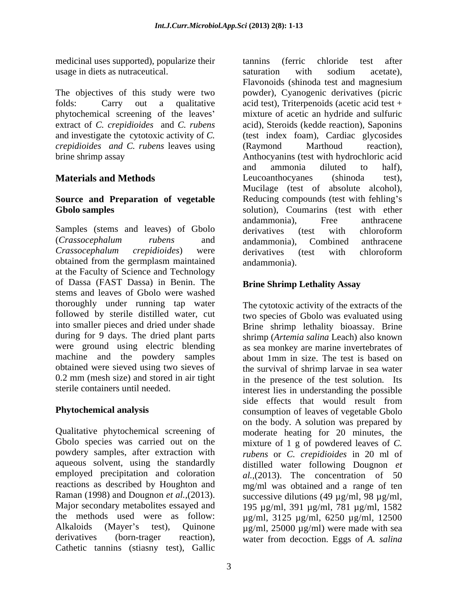medicinal uses supported), popularize their tannins (ferric chloride test after usage in diets as nutraceutical.

The objectives of this study were two phytochemical screening of the leaves *crepidioides and C. rubens* leaves using

# **Source and Preparation of vegetable**

Samples (stems and leaves) of Gbolo derivatives (test with chloroform obtained from the germplasm maintained at the Faculty of Science and Technology of Dassa (FAST Dassa) in Benin. The stems and leaves of Gbolo were washed thoroughly under running tap water followed by sterile distilled water, cut two species of Gbolo was evaluated using into smaller pieces and dried under shade Brine shrimp lethality bioassay. Brine during for 9 days. The dried plant parts shrimp (*Artemia salina* Leach) also known were ground using electric blending as sea monkey are marine invertebrates of machine and the powdery samples obtained were sieved using two sieves of the survival of shrimp larvae in sea water 0.2 mm (mesh size) and stored in air tight in the presence of the test solution. Its

Qualitative phytochemical screening of moderate heating for 20 minutes, the Gbolo species was carried out on the mixture of 1 g of powdered leaves of *C*. powdery samples, after extraction with *rubens* or *C. crepidioides* in 20 ml of aqueous solvent, using the standardly employed precipitation and coloration *al.,*(2013). The concentration of 50 reactions as described by Houghton and mg/ml was obtained and a range of ten Raman (1998) and Dougnon *et al.,*(2013). Major secondary metabolites essayed and 195 µg/ml, 391 µg/ml, 781 µg/ml, 1582 the methods used were as follow:  $\mu$ g/ml, 3125  $\mu$ g/ml, 6250  $\mu$ g/ml, 12500 Alkaloids (Mayer's test), Quinone  $\mu$ g/ml, 25000  $\mu$ g/ml) were made with sea derivatives (born-trager reaction), water from decoction. Eggs of *A. salina* Cathetic tannins (stiasny test), Gallic

folds: Carry out a qualitative acid test), Triterpenoids (acetic acid test + extract of *C. crepidioides* and *C. rubens* acid), Steroids (kedde reaction), Saponins and investigate the cytotoxic activity of *C.*  (test index foam), Cardiac glycosides brine shrimp assay Anthocyanins (test with hydrochloric acid **Materials and Methods Leucoanthocyanes** (shinoda test), **Gbolo samples**  solution), Coumarins (test with ether (*Crassocephalum rubens* and *Crassocephalum crepidioides*) were tannins (ferric chloride test after saturation with sodium acetate), Flavonoids (shinoda test and magnesium powder), Cyanogenic derivatives (picric mixture of acetic an hydride and sulfuric (Raymond Marthoud reaction), and ammonia diluted to half), Leucoanthocyanes (shinoda test), Mucilage (test of absolute alcohol), Reducing compounds (test with fehling's andammonia), Free anthracene derivatives (test with chloroform andammonia), Combined anthracene derivatives (test with chloroform andammonia).

## **Brine Shrimp Lethality Assay**

sterile containers until needed. interest lies in understanding the possible **Phytochemical analysis** consumption of leaves of vegetable Gbolo The cytotoxic activity of the extracts of the about 1mm in size. The test is based on side effects that would result from on the body. A solution was prepared by distilled water following Dougnon *et*  successive dilutions (49  $\mu$ g/ml, 98  $\mu$ g/ml,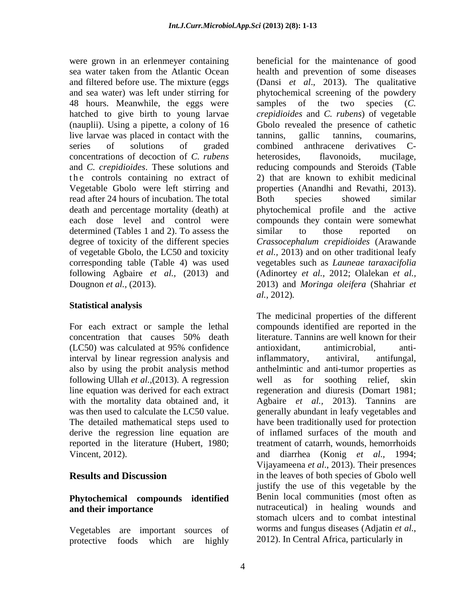were grown in an erlenmeyer containing beneficial for the maintenance of good 48 hours. Meanwhile, the eggs were samples of the two species (C. live larvae was placed in contact with the tannins, gallic tannins, coumarins, series of solutions of graded combined anthracene derivatives Cconcentrations of decoction of *C. rubens* the controls containing no extract of read after 24 hours of incubation. The total determined (Tables 1 and 2). To assess the similar to those reported on

### **Statistical analysis**

interval by linear regression analysis and inflammatory, antiviral, antifungal, following Ullah *et al.,*(2013). A regression with the mortality data obtained and, it reported in the literature (Hubert, 1980;

# **Phytochemical compounds identified**

protective foods which are highly 2012). In Central Africa, particularly in

sea water taken from the Atlantic Ocean health and prevention of some diseases and filtered before use. The mixture (eggs (Dansi *et al*., 2013). The qualitative and sea water) was left under stirring for phytochemical screening of the powdery hatched to give birth to young larvae *crepidioides* and *C. rubens*) of vegetable (nauplii). Using a pipette, a colony of 16 Gbolo revealed the presence of cathetic and *C. crepidioides*. These solutions and reducing compounds and Steroids (Table Vegetable Gbolo were left stirring and properties (Anandhi and Revathi, 2013). death and percentage mortality (death) at phytochemical profile and the active each dose level and control were compounds they contain were somewhat degree of toxicity of the different species *Crassocephalum crepidioides* (Arawande of vegetable Gbolo, the LC50 and toxicity *et al.,* 2013) and on other traditional leafy corresponding table (Table 4) was used vegetables such as *Launeae taraxacifolia* following Agbaire *et al.,* (2013) and (Adinortey *et al.,* 2012; Olalekan *et al.,* Dougnon *et al.,* (2013). 2013) and *Moringa oleifera* (Shahriar *et*  samples of the two species (*C.*  tannins, gallic tannins, coumarins, combined anthracene derivatives C heterosides, flavonoids, mucilage, 2) that are known to exhibit medicinal Both species showed similar similar to those reported on *al.,* 2012)*.* 

For each extract or sample the lethal compounds identified are reported in the concentration that causes 50% death (LC50) was calculated at 95% confidence also by using the probit analysis method anthelmintic and anti-tumor properties as line equation was derived for each extract regeneration and diuresis (Domart 1981; was then used to calculate the LC50 value. generally abundant in leafy vegetables and The detailed mathematical steps used to have been traditionally used for protection derive the regression line equation are of inflamed surfaces of the mouth and Vincent, 2012). and diarrhea (Konig *et al.,* 1994; **Results and Discussion** in the leaves of both species of Gbolo well **and their importance and their importance and their importance and nutraceutical**) in healing wounds and Vegetables are important sources of worms and fungus diseases (Adjatin *et al.*, protective foods which are highly 2012). In Central Africa, particularly in The medicinal properties of the different literature. Tannins are well known for their antioxidant, antimicrobial, antiinflammatory, antiviral, antifungal, well as for soothing relief, skin Agbaire *et al.,* 2013). Tannins are treatment of catarrh, wounds, hemorrhoids Vijayameena *et al*., 2013). Their presences justify the use of this vegetable by the Benin local communities (most often as stomach ulcers and to combat intestinal worms and fungus diseases (Adjatin *et al.*, 2012). In Central Africa, particularly in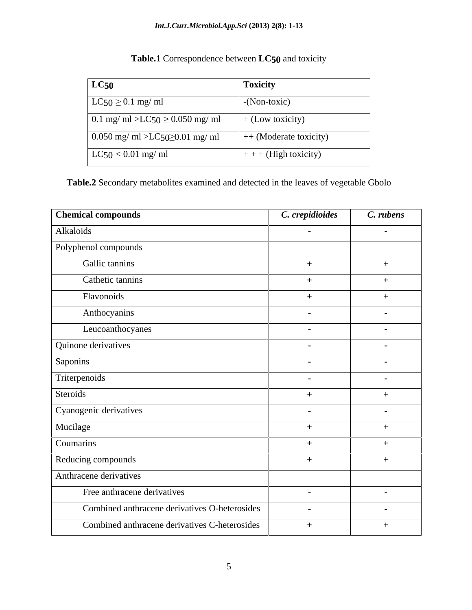### *Int.J.Curr.Microbiol.App.Sci* **(2013) 2(8): 1-13**

| LC50                                  | <b>Toxicity</b>         |
|---------------------------------------|-------------------------|
| $LC50 \ge 0.1$ mg/ ml                 | -(Non-toxic)            |
| $0.1$ mg/ ml >LC50 ≥ 0.050 mg/ ml     | + (Low toxicity)        |
| $\log$ 0.050 mg/ ml >LC50≥0.01 mg/ ml | $+$ (Moderate toxicity) |
| $\vert$ LC50 < 0.01 mg/ ml            | $+ +$ + (High toxicity) |

## **Table.1** Correspondence between **LC50** and toxicity

**Table.2** Secondary metabolites examined and detected in the leaves of vegetable Gbolo

| <b>Chemical compounds</b>                     | C. crepidioides | C. rubens  |
|-----------------------------------------------|-----------------|------------|
| Alkaloids                                     | $\sim$          | $\sim$ $-$ |
| Polyphenol compounds                          |                 |            |
| Gallic tannins                                | $+$             | $+$        |
| Cathetic tannins                              | $+$             | $+$        |
| Flavonoids                                    | $+$             | $+$        |
| Anthocyanins                                  | $\sim$          | $\sim$ $-$ |
| Leucoanthocyanes                              | $\sim$          | $\sim$ $-$ |
| Quinone derivatives                           | $\blacksquare$  | $\sim$ $-$ |
| Saponins                                      | $\sim$          | $\sim$ $-$ |
| Triterpenoids                                 | $\sim$          | $\sim$ $-$ |
| Steroids                                      | $+$             | $+$        |
| Cyanogenic derivatives                        | $\sim$          | $\sim$ $-$ |
| Mucilage                                      | $+$             | $+$        |
| Coumarins                                     | $+$             | $+$        |
| Reducing compounds                            | $+$             | $+$        |
| Anthracene derivatives                        |                 |            |
| Free anthracene derivatives                   | $\sim$          | $\sim$ $-$ |
| Combined anthracene derivatives O-heterosides | $\sim$          | $\sim$ $-$ |
| Combined anthracene derivatives C-heterosides | $+$             | $+$        |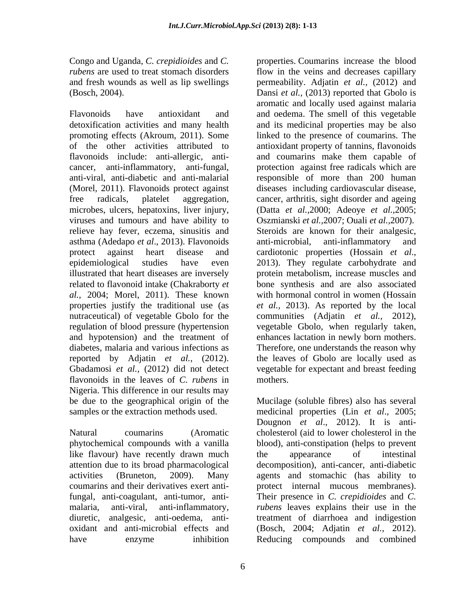Congo and Uganda, *C. crepidioides* and *C.* 

flavonoids include: anti-allergic, anti-<br>and coumaring make them capable of asthma (Adedapo *et al.*, 2013). Flavonoids anti-microbial, anti-inflammatory and protect against heart disease and cardiotonic properties (Hossain *et al.*, protect against heart disease and cardiotonic properties (Hossain et al., epidemiological studies have even 2013). They regulate carbohydrate and *al.,* 2004; Morel, 2011). These known regulation of blood pressure (hypertension flavonoids in the leaves of *C. rubens* in Nigeria. This difference in our results may be due to the geographical origin of the samples or the extraction methods used. medicinal properties (Lin *et al*., 2005;

like flavour) have recently drawn much the appearance of intestinal

*rubens* are used to treat stomach disorders flow in the veins and decreases capillary and fresh wounds as well as lip swellings permeability. Adjatin *et al.,* (2012) and (Bosch, 2004). Dansi *et al.,* (2013) reported that Gbolo is Flavonoids have antioxidant and and oedema. The smell of this vegetable detoxification activities and many health and its medicinal properties may be also promoting effects (Akroum, 2011). Some linked to the presence of coumarins. The of the other activities attributed to antioxidant property of tannins, flavonoids cancer, anti-inflammatory, anti-fungal, protection against free radicals which are anti-viral, anti-diabetic and anti-malarial responsible of more than 200 human (Morel, 2011). Flavonoids protect against diseases including cardiovascular disease, free radicals, platelet aggregation, cancer, arthritis, sight disorder and ageing microbes, ulcers, hepatoxins, liver injury, (Datta *et al.,*2000; Adeoye *et al.,*2005; viruses and tumours and have ability to Oszmianski *et al.,*2007; Ouali *et al.,*2007). relieve hay fever, eczema, sinusitis and Steroids are known for their analgesic, illustrated that heart diseases are inversely protein metabolism, increase muscles and related to flavonoid intake (Chakraborty *et*  bone synthesis and are also associated properties justify the traditional use (as *et al.,* 2013). As reported by the local nutraceutical) of vegetable Gbolo for the communities (Adjatin *et al.,* 2012), and hypotension) and the treatment of enhances lactation in newly born mothers. diabetes, malaria and various infections as Therefore, one understands the reason why reported by Adjatin *et al.,* (2012). the leaves of Gbolo are locally used as Gbadamosi *et al.,* (2012) did not detect vegetable for expectant and breast feeding properties. Coumarins increase the blood aromatic and locally used against malaria and coumarins make them capable of anti-microbial, anti-inflammatory and cardiotonic properties (Hossain *et al*., 2013). They regulate carbohydrate and with hormonal control in women (Hossain vegetable Gbolo, when regularly taken, mothers.

Natural coumarins (Aromatic cholesterol (aid to lower cholesterol in the phytochemical compounds with a vanilla blood), anti-constipation (helps to prevent attention due to its broad pharmacological decomposition), anti-cancer, anti-diabetic activities (Bruneton, 2009). Many agents and stomachic (has ability to coumarins and their derivatives exert anti-protectinternal mucous membranes). fungal, anti-coagulant, anti-tumor, anti- Their presence in *C. crepidioides* and *C.*  malaria, anti-viral, anti-inflammatory, *rubens* leaves explains their use in the diuretic, analgesic, anti-oedema, anti- treatment of diarrhoea and indigestion oxidant and anti-microbial effects and (Bosch, 2004; Adjatin *et al.,* 2012). have enzyme inhibition Reducing compounds and combinedMucilage (soluble fibres) also has several Dougnon *et al*., 2012). It is anti the appearance of intestinal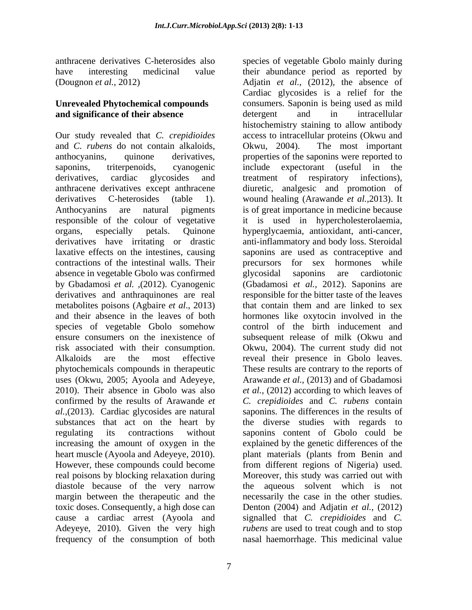anthracene derivatives C-heterosides also species of vegetable Gbolo mainly during have interesting medicinal value their abundance period as reported by

and *C. rubens* do not contain alkaloids, responsible of the colour of vegetative it is used in hypercholesterolaemia, organs, especially petals. Quinone absence in vegetable Gbolo was confirmed derivatives and anthraquinones are real and their absence in the leaves of both species of vegetable Gbolo somehow uses (Okwu, 2005; Ayoola and Adeyeye, confirmed by the results of Arawande *et al.,*(2013). Cardiac glycosides are natural increasing the amount of oxygen in the real poisons by blocking relaxation during diastole because of the very narrow<br>margin between the therapeutic and the Adeyeye, 2010). Given the very high

(Dougnon *et al.,* 2012) Adjatin *et al.,* (2012), the absence of **Unrevealed Phytochemical compounds**  consumers. Saponin is being used as mild **and significance of their absence absence detergent** and **in** intracellular Our study revealed that *C. crepidioides* access to intracellular proteins (Okwu and anthocyanins, quinone derivatives, properties of the saponins were reported to saponins, triterpenoids, cyanogenic include expectorant (useful in the derivatives, cardiac glycosides and treatment of respiratory infections), anthracene derivatives except anthracene diuretic, analgesic and promotion of derivatives C-heterosides (table 1). wound healing (Arawande *et al.,*2013). It Anthocyanins are natural pigments is of great importance in medicine because derivatives have irritating or drastic anti-inflammatory and body loss. Steroidal laxative effects on the intestines, causing saponins are used as contraceptive and contractions of the intestinal walls. Their precursors for sex hormones while by Gbadamosi *et al. ,*(2012). Cyanogenic (Gbadamosi *et al.,* 2012). Saponins are metabolites poisons (Agbaire *et al*., 2013) that contain them and are linked to sex ensure consumers on the inexistence of subsequent release of milk (Okwu and risk associated with their consumption. Okwu, 2004). The current study did not Alkaloids are the most effective reveal their presence in Gbolo leaves. phytochemicals compounds in therapeutic These results are contrary to the reports of 2010). Their absence in Gbolo was also *et al.,* (2012) according to which leaves of substances that act on the heart by the diverse studies with regards to regulating its contractions without saponins content of Gbolo could be heart muscle (Ayoola and Adeyeye, 2010). plant materials (plants from Benin and However, these compounds could become from different regions of Nigeria) used. margin between the therapeutic and the necessarily the case in the other studies. toxic doses. Consequently, a high dose can Denton (2004) and Adjatin *et al.,* (2012) cause a cardiac arrest (Ayoola and signalled that *C. crepidioides* and *C.*  frequency of the consumption of both nasal haemorrhage. This medicinal valueCardiac glycosides is a relief for the detergent and in intracellular histochemistry staining to allow antibody Okwu, 2004). The most important it is used in hypercholesterolaemia,<br>hyperglycaemia, antioxidant, anti-cancer, glycosidal saponins are cardiotonic responsible for the bitter taste of the leaves hormones like oxytocin involved in the control of the birth inducement and Arawande *et al.,* (2013) and of Gbadamosi *C. crepidioides* and *C. rubens* contain saponins. The differences in the results of explained by the genetic differences of the Moreover, this study was carried out with the aqueous solvent which is not *rubens* are used to treat cough and to stop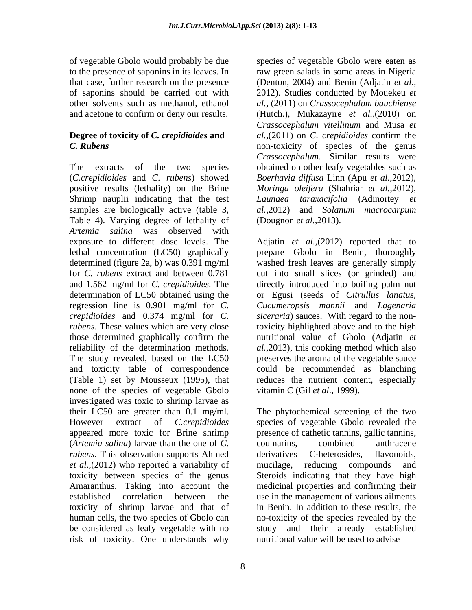of vegetable Gbolo would probably be due

# **Degree of toxicity of** *C. crepidioides* **and**

The extracts of the two species obtained on other leafy vegetables such as (*C.crepidioides* and *C. rubens*) showed *Boerhavia dif usa* Linn (Apu *et al.,*2012), positive results (lethality) on the Brine *Moringa oleifera* (Shahriar *et al.,*2012), Shrimp nauplii indicating that the test *Launaea taraxacifolia* (Adinortey *et*  samples are biologically active (table 3, Table 4). Varying degree of lethality of *Artemia salina* was observed with and 1.562 mg/ml for *C. crepidioides.* The none of the species of vegetable Gbolo investigated was toxic to shrimp larvae as appeared more toxic for Brine shrimp presence of cathetic tannins, gallic tannins, (*Artemia salina*) larvae than the one of *C*. coumarins, combined anthracene *rubens*. This observation supports Ahmed *et al.,*(2012) who reported a variability of toxicity of shrimp larvae and that of be considered as leafy vegetable with no risk of toxicity. One understands why

to the presence of saponins in its leaves. In raw green salads in some areas in Nigeria that case, further research on the presence (Denton, 2004) and Benin (Adjatin *etal.,* of saponins should be carried out with 2012). Studies conducted by Mouekeu *et*  other solvents such as methanol, ethanol *al.,* (2011) on *Crassocephalum bauchiense* and acetone to confirm or deny our results. (Hutch.), Mukazayire *et al.,*(2010) on *C. Rubens* non-toxicity of species of the genus species of vegetable Gbolo were eaten as *Crassocephalum vitellinum* and Musa *et al.,*(2011) on *C. crepidioides* confirm the *Crassocephalum*. Similar results were *al.,*2012)and *Solanum macrocarpum* (Dougnon *et al.,*2013).

exposure to different dose levels. The Adjatin *et al.,*(2012) reported that to lethal concentration (LC50) graphically prepare Gbolo in Benin, thoroughly determined (figure 2a, b) was 0.391 mg/ml washed fresh leaves are generally simply for *C. rubens* extract and between 0.781 cut into small slices (or grinded) and determination of LC50 obtained using the or Egusi (seeds of *Citrullus lanatus,* regression line is 0.901 mg/ml for *C. Cucumeropsis mannii* and *Lagenaria crepidioides* and 0.374 mg/ml for *C. siceraria*) sauces. With regard to the non*rubens*. These values which are very close toxicity highlighted above and to the high those determined graphically confirm the nutritional value of Gbolo (Adjatin *et*  reliability of the determination methods. *al.,*2013), this cooking method which also The study revealed, based on the LC50 preserves the aroma of the vegetable sauce and toxicity table of correspondence could be recommended as blanching (Table 1) set by Mousseux (1995), that reduces the nutrient content, especially directly introduced into boiling palm nut vitamin C (Gil *et al*., 1999).

their LC50 are greater than 0.1 mg/ml. The phytochemical screening of the two However extract of *C.crepidioides* species of vegetable Gbolo revealed the toxicity between species of the genus Steroidsindicating that they have high Amaranthus. Taking into account the medicinal properties and confirming their established correlation between the use in the management of various ailments human cells, the two species of Gbolo can ho-toxicity of the species revealed by the presence of cathetic tannins, gallic tannins,<br>coumarins, combined anthracene derivatives C-heterosides, flavonoids, mucilage, reducing compounds and in Benin. In addition to these results, the study and their already established nutritional value will be used to advise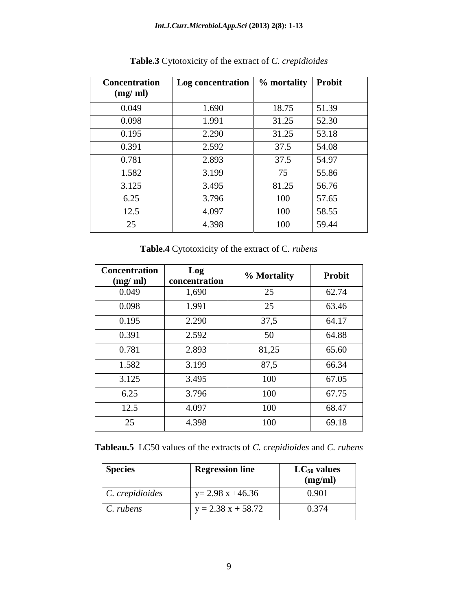| <b>Concentration</b> | Log concentration $\vert \%$ mortality $\vert \cdot \rangle$ |       | <b>Probit</b> |
|----------------------|--------------------------------------------------------------|-------|---------------|
| (mg/ml)              |                                                              |       |               |
| 0.049                | 1.690                                                        | 18.75 | 51.39         |
| 0.098                | 1.991                                                        | 31.25 | 52.30         |
| 0.195                | 2.290                                                        | 31.25 | 53.18         |
| 0.391                | 2.592                                                        | 37.5  | 54.08         |
| 0.781                | 2.893                                                        | 37.5  | 54.97         |
| 1.582                | 3.199                                                        | 75    | 55.86         |
| 3.125                | 3.495                                                        | 81.25 | 56.76         |
| 6.25                 | 3.796                                                        | 100   | 57.65         |
| 12.5                 | 4.097                                                        | 100   | 58.55         |
| 25                   | 4.398                                                        | 100   | 59.44         |

**Table.3** Cytotoxicity of the extract of *C. crepidioides*

**Table.4** Cytotoxicity of the extract of C*. rubens*

| Concentration<br>(mg/ml) | Log<br>concentration | % Mortality | Probit |
|--------------------------|----------------------|-------------|--------|
| 0.049                    | 1,690                | 25          | 62.74  |
| 0.098                    | 1.991                | 25          | 63.46  |
| 0.195                    | 2.290                | 37,5        | 64.17  |
| 0.391                    | 2.592                | 50          | 64.88  |
| 0.781                    | 2.893                | 81,25       | 65.60  |
| 1.582                    | 3.199                | 87,5        | 66.34  |
| 3.125                    | 3.495                | 100         | 67.05  |
| 6.25                     | 3.796                | 100         | 67.75  |
| 12.5                     | 4.097                | 100         | 68.47  |
| 25                       | 4.398                | 100         | 69.18  |

**Tableau.5** LC50 values of the extracts of *C. crepidioides* and *C. rubens*

| <b>Species</b>  | <b>Regression line</b> | $LC_{50}$ values<br>(mg/ml) |
|-----------------|------------------------|-----------------------------|
| C. crepidioides | $y = 2.98$ x +46.36    | 0.901                       |
| C. rubens       | $y = 2.38 x + 58.72$   | 0.374                       |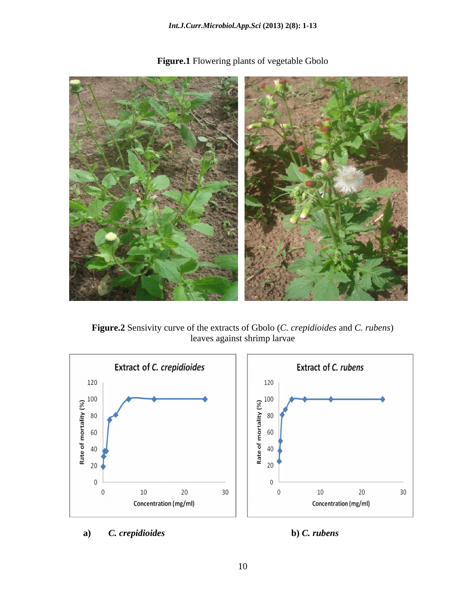

**Figure.1** Flowering plants of vegetable Gbolo

**Figure.2** Sensivity curve of the extracts of Gbolo (*C. crepidioides* and *C. rubens*) leaves against shrimp larvae



**a)** *C. crepidioides* **b)** *C. rubens*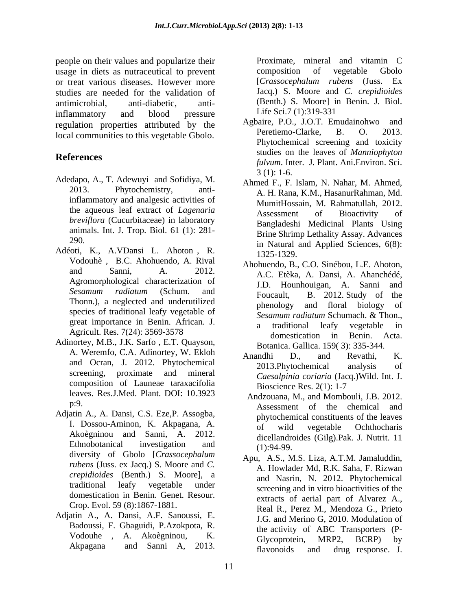people on their values and popularize their **Proximate**, mineral and vitamin C usage in diets as nutraceutical to prevent<br>or treat various diseases. However more [Crassocephalum rubens (Juss. Ex or treat various diseases. However more [Crassocephalum rubens (Juss. Exstudies are needed for the validation of antimicrobial, anti-diabetic, anti-<br>inflammatory and blood pressure Life Sci. 7(1):319-331 inflammatory and blood pressure  $Lite$  Sci.  $7(1):319-331$ regulation properties attributed by the Agbaire, P.O., J.O.T. Emudainohwo and Peretiemo-Clarke, B. O. 2013. local communities to this vegetable Gbolo.

- Adedapo, A., T. Adewuyi and Sofidiya, M.  $3(1)$ : 1-6. inflammatory and analgesic activities of *breviflora* (Cucurbitaceae) in laboratory animals. Int. J. Trop. Biol. 61 (1): 281-
- Adéoti, K., A.VDansi L. Ahoton , R. Vodouhè , B.C. Ahohuendo, A. Rival
- Adinortey, M.B., J.K. Sarfo , E.T. Quayson, A. Weremfo, C.A. Adinortey, W. Ekloh Anandhi D., and Revathi, K. screening, proximate and mineral composition of Launeae taraxacifolia<br>Bioscience Res. 2(1): 1-7 leaves. Res.J.Med. Plant. DOI: 10.3923
- Adjatin A., A. Dansi, C.S. Eze, P. Assogba,<br>
I. Dossou-Aminon, K. Akpagana, A.<br>
of wild yegetable Ochthocharis diversity of Gbolo [*Crassocephalum crepidioides* (Benth.) S. Moore], a domestication in Benin. Genet. Resour.
- Adjatin A., A. Dansi, A.F. Sanoussi, E. Badoussi, F. Gbaguidi, P.Azokpota, R.

Proximate, mineral and vitamin C composition of vegetable Gbolo [*Crassocephalum rubens* (Juss. Ex Jacq.) S. Moore and *C. crepidioides* (Benth.) S. Moore] in Benin. J. Biol. Life Sci.7 (1):319-331

- **References**<br> *fulvum*. Inter. J. Plant. Ani.Environ. Sci. Agbaire, P.O., J.O.T. Emudainohwo Peretiemo-Clarke, Phytochemical screening and toxicity studies on the leaves of *Manniophyton*  3 (1): 1-6.
	- 2013. Phytochemistry, anti-A. H. Rana, K.M., HasanurRahman, Md. the aqueous leaf extract of *Lagenaria*   $290.$  in Natural and Applied Sciences,  $6(8)$ : Ahmed F., F. Islam, N. Nahar, M. Ahmed, MumitHossain, M. Rahmatullah, 2012. Assessment of Bioactivity of Bangladeshi Medicinal Plants Using Brine Shrimp Lethality Assay. Advances 1325-1329.
	- and Sanni, A. 2012. A.C. Etèka, A. Dansi, A. Ahanchédé, Agromorphological characterization of J.D. Hounhouigan, A. Sanni and *Sesamum radiatum* (Schum. and Sesamum radiatum (Schuin, and Foucault, B. 2012 Study of the Thonn.), a neglected and underutilized biology and floral biology of species of traditional leafy vegetable of Sesamum radiatum Schumach. & Thon., great importance in Benin. African. J. a traditional leafy vegetable in Agricult. Res. 7(24): 3569-3578 domestication in Benin. Acta. Ahohuendo, B., C.O. Sinébou, L.E. Ahoton, A.C. Etèka, A. Dansi, A. Ahanchédé, J.D. Hounhouigan, A. Sanni and Foucault, B. 2012. Study of the phenology and floral biology *Sesamum radiatum* Schumach. & Thon., a traditional leafy vegetable in domestication in Benin. Acta. Botanica. Gallica. 159( 3): 335-344.
	- and Ocran, J. 2012. Phytochemical analysis of analysis of Anandhi D., and Revathi, K. 2013.Phytochemical analysis of *Caesalpinia coriaria* (Jacq.)Wild. Int. J. Bioscience Res. 2(1): 1-7
	- p:9.<br>Assessment of the chemical and I. Dossou-Aminon, K. Akpagana, A.<br>Akoègninou and Sanni, A. 2012. Aicellandroides (Gile) Pels J. Nutrit 11. Ethnobotanical investigation and  $(1) \cdot 94.99$  Andzouana, M., and Mombouli, J.B. 2012. phytochemical constituents of the leaves of wild vegetable Ochthocharis dicellandroides (Gilg).Pak. J. Nutrit. 11 (1):94-99.
	- *rubens* (Juss. ex Jacq.) S. Moore and *C*. A. Howlader Md, R.K. Saha, F. Rizwan traditional leafy vegetable under screening and in vitro bioactivities of the Crop. Evol. 59 (8):1867-1881. Real R., Perez M., Mendoza G., Prieto Vodouhe , A. Akoègninou, K. Akpagana and Sanni A, 2013. Flavonoids and drug response I Apu, A.S., M.S. Liza, A.T.M. Jamaluddin, A. Howlader Md, R.K. Saha, F. Rizwan and Nasrin, N. 2012. Phytochemical extracts of aerial part of Alvarez A., J.G. and Merino G, 2010. Modulation of the activity of ABC Transporters (P- Glycoprotein, MRP2, BCRP) by flavonoids and drug response. J.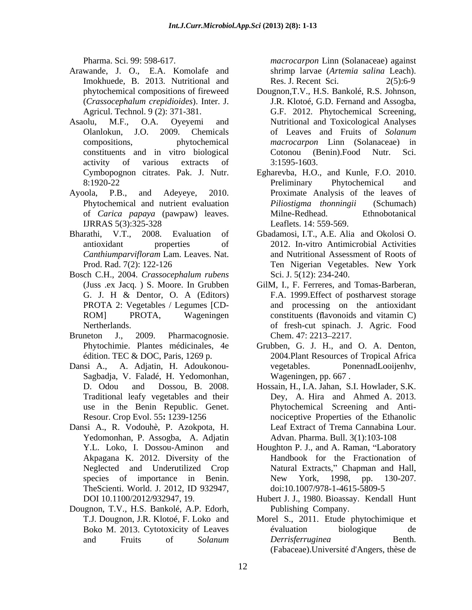- Arawande, J. O., E.A. Komolafe and Imokhuede, B. 2013. Nutritional and Res. J. Recent Sci. 2(5):6-9
- Asaolu, M.F., O.A. Oyeyemi and activity of various extracts of 3:1595-1603.
- IJRRAS 5(3):325-328 Leaflets. 14: 559-569.
- 
- Bosch C.H., 2004. *Crassocephalum rubens*
- Bruneton J., 2009. Pharmacognosie. Chem. 47: 2213–2217.
- Dansi A., A. Adjatin, H. Adoukonou-Sagbadja, V. Faladé, H. Yedomonhan,
- Dansi A., R. Vodouhè, P. Azokpota, H. Yedomonhan, P. Assogba, A. Adjatin
- Dougnon, T.V., H.S. Bankolé, A.P. Edorh,

Pharma. Sci. 99: 598-617. The example are the example of the macrocarpon Linn (Solanaceae) against shrimp larvae (*Artemia salina* Leach). Res. J. Recent Sci.

- phytochemical compositions of fireweed Dougnon, T.V., H.S. Bankolé, R.S. Johnson, (*Crassocephalum crepidioides*). Inter. J. Agricul. Technol. 9 (2): 371-381. G.F. 2012. Phytochemical Screening. Olanlokun, J.O. 2009. Chemicals compositions, phytochemical *macrocarpon* Linn (Solanaceae) in constituents and in vitro biological **Pharmas. Solan Solan Excelse (Excelse 12.** Macrocarpon Linn (Solan against the solan strength and the solan strength and Resistant B. and Nurrimond and Resistant B. and Nurrimond and Resistant B. and Nurrimond Constrained Dougnon,T.V., H.S. Bankolé, R.S. Johnson,<br>J.R. Klotoé, G.D. Fernand and Assogba,<br>G.F. 2012. Phytochemical Screening,<br>Nutritional and Toxicological Analyses of Leaves and Fruits of *Solanum* Cotonou (Benin).Food Nutr. Sci. 3:1595-1603.
- Cymbopognon citrates. Pak. J. Nutr. Egharevba, H.O., and Kunle, F.O. 2010. 8:1920-22 Preliminary Phytochemical and Ayoola, P.B., and Adeyeye, 2010. Proximate Analysis of the leaves of Phytochemical and nutrient evaluation *Piliostigma thonningii* (Schumach) of *Carica papaya* (pawpaw) leaves. Preliminary Phytochemical and *Piliostigma thonningii* (Schumach) Milne-Redhead. Ethnobotanical Leaflets. 14: 559-569.
- Bharathi, V.T., 2008. Evaluation of Gbadamosi, I.T., A.E. Alia and Okolosi O. antioxidant properties of 2012. In-vitro Antimicrobial Activities *Canthiumparvifloram* Lam. Leaves. Nat. and Nutritional Assessment of Roots of Prod. Rad. 7(2): 122-126 Ten Nigerian Vegetables. New York Sci. J. 5(12): 234-240.
	- (Juss .ex Jacq. ) S. Moore. In Grubben GilM, I., F. Ferreres, and Tomas-Barberan, G. J. H & Dentor, O. A (Editors) F.A. 1999.Effect of postharvest storage PROTA 2: Vegetables / Legumes [CD- and processing on the antioxidant ROM] PROTA, Wageningen constituents (flavonoids and vitamin C) Nertherlands. of fresh-cut spinach. J. Agric. Food Chem. 47: 2213–2217.
	- Phytochimie. Plantes médicinales, 4e Grubben, G. J. H., and O. A. Denton, édition. TEC & DOC, Paris, 1269 p. 2004.Plant Resources of Tropical Africa PonennadLooijenhv, Wageningen, pp. 667 .
	- D. Odou and Dossou, B. 2008. Hossain, H., I.A. Jahan, S.I. Howlader, S.K. Traditional leafy vegetables and their Dey, A. Hira and Ahmed A. 2013. use in the Benin Republic. Genet. Phytochemical Screening and Anti- Resour. Crop Evol. 55**:** 1239-1256 nociceptive Properties of the Ethanolic Leaf Extract of Trema Cannabina Lour. Advan. Pharma. Bull. 3(1):103-108
	- Y.L. Loko, I. Dossou-Aminon and Houghton P. J., and A. Raman, "Laboratory Akpagana K. 2012. Diversity of the Handbook for the Fractionation of Neglected and Underutilized Crop Natural Extracts," Chapman and Hall, species of importance in Benin. New York, 1998, pp. 130-207. TheScienti. World. J. 2012, ID 932947, New York, 1998, pp. 130-207. doi:10.1007/978-1-4615-5809-5
	- DOI 10.1100/2012/932947, 19. Hubert J. J., 1980. Bioassay. Kendall Hunt Publishing Company.
	- T.J. Dougnon, J.R. Klotoé, F. Loko and Morel S., 2011. Etude phytochimique et Boko M. 2013. Cytotoxicity of Leaves evaluation biologique de évaluation biologique de *Derrisferruginea* Benth. (Fabaceae).Université d'Angers, thèse de